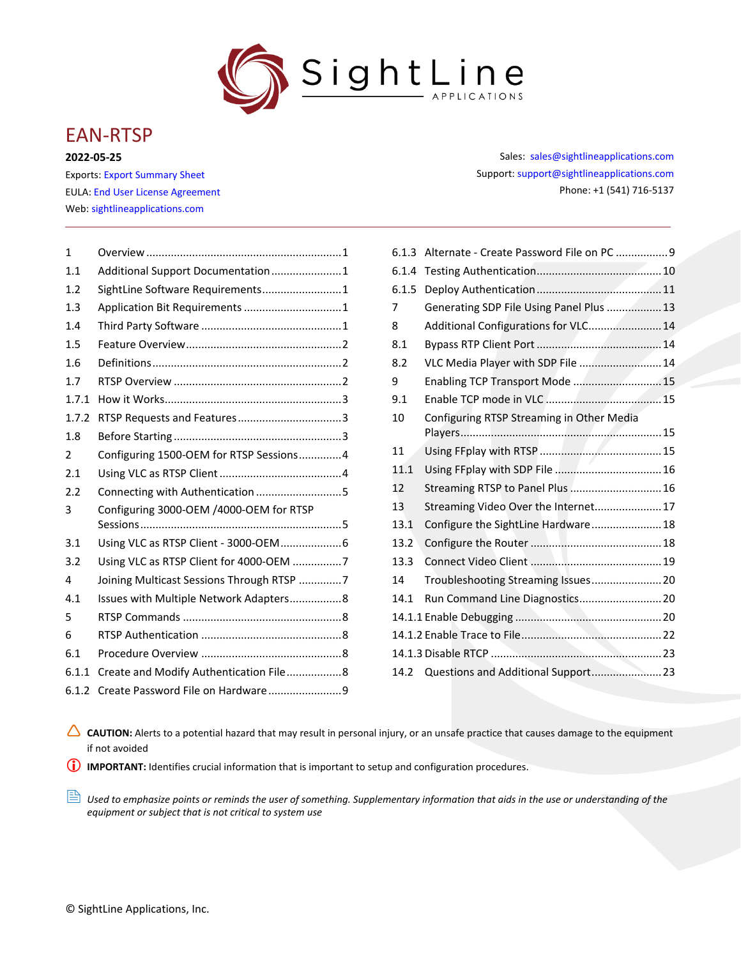

# EAN-RTSP

**2022-05-25**

Exports: [Export Summary Sheet](https://sightlineapplications.com/wp-content/uploads/Exports-Summary.pdf) EULA[: End User License Agreement](https://sightlineapplications.com/wp-content/uploads/SightLine-Product-License.pdf) Web[: sightlineapplications.com](https://sightlineapplications.com/)

| $\mathbf{1}$  |                                           |
|---------------|-------------------------------------------|
| 1.1           | Additional Support Documentation1         |
| 1.2           | SightLine Software Requirements 1         |
| 1.3           | Application Bit Requirements  1           |
| 1.4           |                                           |
| 1.5           |                                           |
| 1.6           |                                           |
| 1.7           |                                           |
| 1.7.1         |                                           |
| 1.7.2         |                                           |
| 1.8           |                                           |
| $\mathcal{P}$ | Configuring 1500-OEM for RTSP Sessions4   |
| 2.1           |                                           |
| 2.2           | Connecting with Authentication 5          |
| 3             | Configuring 3000-OEM /4000-OEM for RTSP   |
| 3.1           | Using VLC as RTSP Client - 3000-OEM 6     |
| 3.2           | Using VLC as RTSP Client for 4000-OEM 7   |
| 4             | Joining Multicast Sessions Through RTSP 7 |
| 4.1           | Issues with Multiple Network Adapters8    |
| 5             |                                           |
| 6             |                                           |
| 6.1           |                                           |
| 6.1.1         | Create and Modify Authentication File8    |
| 6.1.2         |                                           |

Sales: [sales@sightlineapplications.com](mailto:sales@sightlineapplications.com) Support[: support@sightlineapplications.com](mailto:support@sightlineapplications.com) Phone: +1 (541) 716-5137

| 6.1.3 | Alternate - Create Password File on PC  9 |  |
|-------|-------------------------------------------|--|
| 6.1.4 |                                           |  |
| 6.1.5 |                                           |  |
| 7     | Generating SDP File Using Panel Plus  13  |  |
| 8     | Additional Configurations for VLC 14      |  |
| 8.1   |                                           |  |
| 8.2   | VLC Media Player with SDP File  14        |  |
| 9     | Enabling TCP Transport Mode 15            |  |
| 9.1   |                                           |  |
| 10    | Configuring RTSP Streaming in Other Media |  |
|       |                                           |  |
| 11    |                                           |  |
| 11.1  |                                           |  |
| 12    | Streaming RTSP to Panel Plus  16          |  |
| 13    | Streaming Video Over the Internet 17      |  |
| 13.1  | Configure the SightLine Hardware 18       |  |
| 13.2  |                                           |  |
| 13.3  |                                           |  |
| 14    | Troubleshooting Streaming Issues 20       |  |
| 14.1  | Run Command Line Diagnostics 20           |  |
|       |                                           |  |
|       |                                           |  |
|       |                                           |  |
|       |                                           |  |
|       |                                           |  |

CAUTION: Alerts to a potential hazard that may result in personal injury, or an unsafe practice that causes damage to the equipment if not avoided

**IMPORTANT:** Identifies crucial information that is important to setup and configuration procedures.

**B** Used to emphasize points or reminds the user of something. Supplementary information that aids in the use or understanding of the *equipment or subject that is not critical to system use*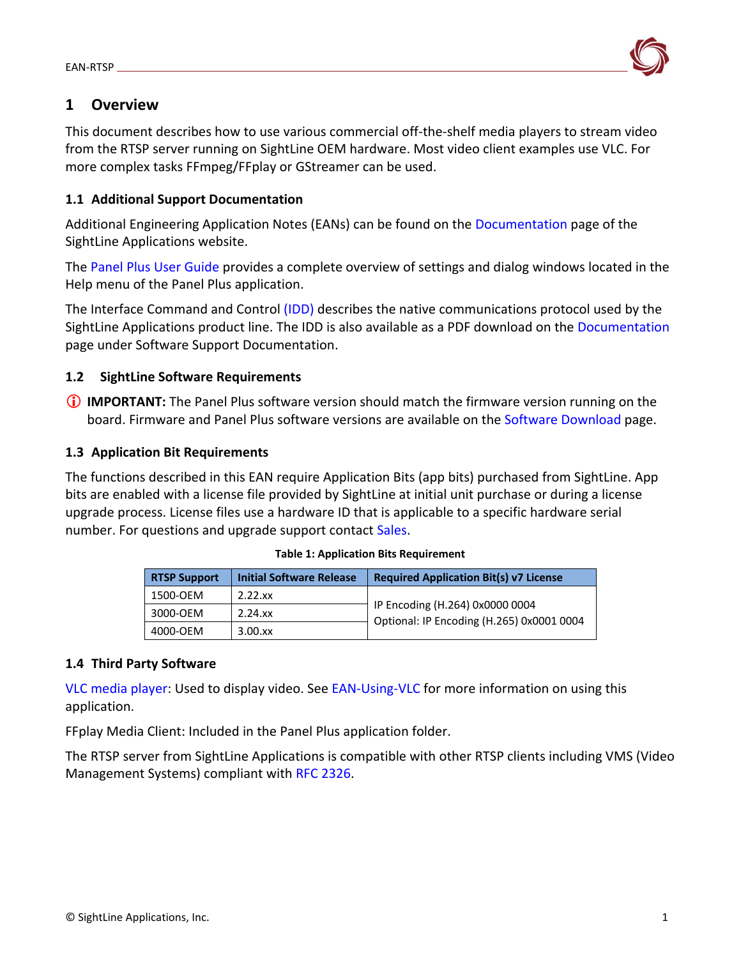

## <span id="page-1-0"></span>**1 Overview**

This document describes how to use various commercial off-the-shelf media players to stream video from the RTSP server running on SightLine OEM hardware. Most video client examples use VLC. For more complex tasks FFmpeg/FFplay or GStreamer can be used.

## <span id="page-1-1"></span>**1.1 Additional Support Documentation**

Additional Engineering Application Notes (EANs) can be found on the [Documentation](https://sightlineapplications.com/documentation/) page of the SightLine Applications website.

The [Panel Plus User Guide](https://sightlineapplications.com/downloads/) provides a complete overview of settings and dialog windows located in the Help menu of the Panel Plus application.

The Interface Command and Control [\(IDD\)](https://sightlineapplications.com/releases/IDD/current/index.html) describes the native communications protocol used by the SightLine Applications product line. The IDD is also available as a PDF download on the [Documentation](https://sightlineapplications.com/documentation/) page under Software Support Documentation.

## <span id="page-1-2"></span>**1.2 SightLine Software Requirements**

 **IMPORTANT:** The Panel Plus software version should match the firmware version running on the board. Firmware and Panel Plus software versions are available on the [Software Download](https://sightlineapplications.com/downloads/) page.

## <span id="page-1-3"></span>**1.3 Application Bit Requirements**

The functions described in this EAN require Application Bits (app bits) purchased from SightLine. App bits are enabled with a license file provided by SightLine at initial unit purchase or during a license upgrade process. License files use a hardware ID that is applicable to a specific hardware serial number. For questions and upgrade support contact [Sales.](mailto:sales@sightlineapplications.com)

| <b>RTSP Support</b> | <b>Initial Software Release</b> | <b>Required Application Bit(s) v7 License</b>                                |
|---------------------|---------------------------------|------------------------------------------------------------------------------|
| 1500-OEM            | 2.22.xx                         |                                                                              |
| 3000-OEM            | $2.24$ .xx                      | IP Encoding (H.264) 0x0000 0004<br>Optional: IP Encoding (H.265) 0x0001 0004 |
| 4000-OEM            | $3.00$ .xx                      |                                                                              |

## **Table 1: Application Bits Requirement**

## <span id="page-1-4"></span>**1.4 Third Party Software**

[VLC media player:](https://www.videolan.org/vlc/) Used to display video. See [EAN-Using-VLC](https://sightlineapplications.com/wp-content/uploads/EAN-Using-VLC.pdf) for more information on using this application.

FFplay Media Client: Included in the Panel Plus application folder.

The RTSP server from SightLine Applications is compatible with other RTSP clients including VMS (Video Management Systems) compliant with [RFC 2326.](https://datatracker.ietf.org/doc/html/rfc2326)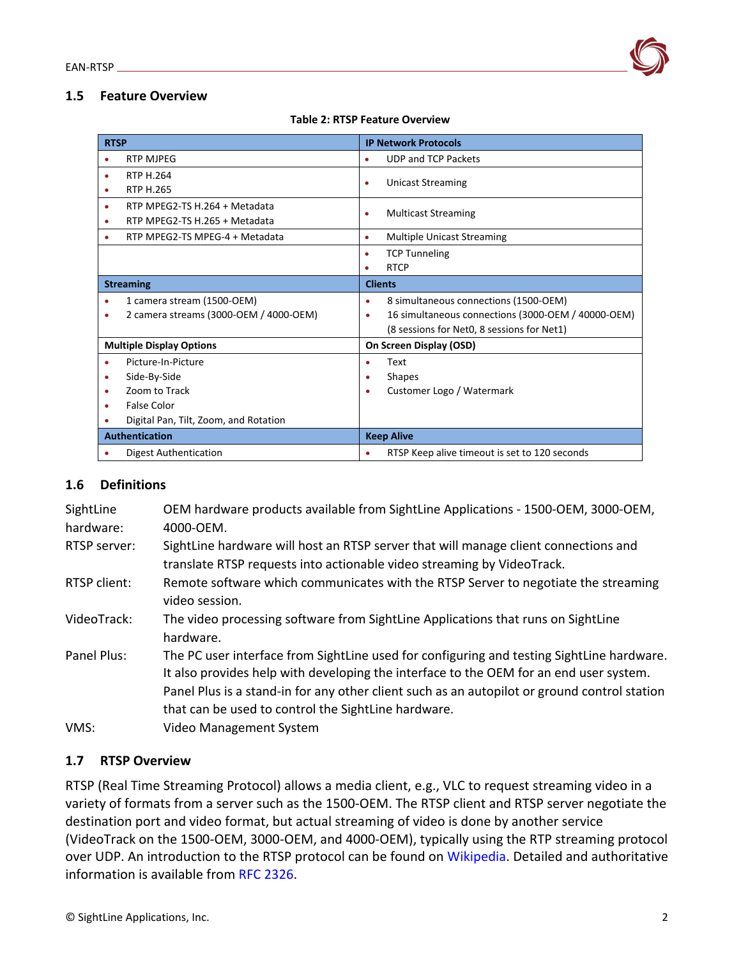## <span id="page-2-0"></span>**1.5 Feature Overview**

| <b>RTSP</b>      |                                        | <b>IP Network Protocols</b>                             |  |  |
|------------------|----------------------------------------|---------------------------------------------------------|--|--|
|                  | <b>RTP MJPEG</b>                       | <b>UDP and TCP Packets</b><br>$\bullet$                 |  |  |
|                  | <b>RTP H.264</b>                       | <b>Unicast Streaming</b><br>$\bullet$                   |  |  |
|                  | <b>RTP H.265</b>                       |                                                         |  |  |
|                  | RTP MPEG2-TS H.264 + Metadata          | <b>Multicast Streaming</b><br>$\bullet$                 |  |  |
| ۰                | RTP MPEG2-TS H.265 + Metadata          |                                                         |  |  |
|                  | RTP MPEG2-TS MPEG-4 + Metadata         | <b>Multiple Unicast Streaming</b><br>$\bullet$          |  |  |
|                  |                                        | <b>TCP Tunneling</b><br>$\bullet$                       |  |  |
|                  |                                        | <b>RTCP</b>                                             |  |  |
| <b>Streaming</b> |                                        | <b>Clients</b>                                          |  |  |
|                  | 1 camera stream (1500-OEM)             | 8 simultaneous connections (1500-OEM)<br>$\bullet$      |  |  |
|                  | 2 camera streams (3000-OEM / 4000-OEM) | 16 simultaneous connections (3000-OEM / 40000-OEM)<br>٠ |  |  |
|                  |                                        | (8 sessions for Net0, 8 sessions for Net1)              |  |  |
|                  | <b>Multiple Display Options</b>        | On Screen Display (OSD)                                 |  |  |
|                  | Picture-In-Picture                     | Text<br>٠                                               |  |  |
|                  | Side-By-Side                           | <b>Shapes</b>                                           |  |  |
|                  | Zoom to Track                          | Customer Logo / Watermark                               |  |  |
|                  | <b>False Color</b>                     |                                                         |  |  |
|                  | Digital Pan, Tilt, Zoom, and Rotation  |                                                         |  |  |
|                  | <b>Authentication</b>                  | <b>Keep Alive</b>                                       |  |  |
|                  | <b>Digest Authentication</b>           | RTSP Keep alive timeout is set to 120 seconds           |  |  |

### <span id="page-2-1"></span>**1.6 Definitions**

| SightLine<br>hardware: | OEM hardware products available from SightLine Applications - 1500-OEM, 3000-OEM,<br>4000-OEM.                                                                                                                                                                                                                                             |
|------------------------|--------------------------------------------------------------------------------------------------------------------------------------------------------------------------------------------------------------------------------------------------------------------------------------------------------------------------------------------|
| RTSP server:           | SightLine hardware will host an RTSP server that will manage client connections and<br>translate RTSP requests into actionable video streaming by VideoTrack.                                                                                                                                                                              |
| RTSP client:           | Remote software which communicates with the RTSP Server to negotiate the streaming<br>video session.                                                                                                                                                                                                                                       |
| VideoTrack:            | The video processing software from SightLine Applications that runs on SightLine<br>hardware.                                                                                                                                                                                                                                              |
| Panel Plus:            | The PC user interface from SightLine used for configuring and testing SightLine hardware.<br>It also provides help with developing the interface to the OEM for an end user system.<br>Panel Plus is a stand-in for any other client such as an autopilot or ground control station<br>that can be used to control the SightLine hardware. |
| VMS:                   | <b>Video Management System</b>                                                                                                                                                                                                                                                                                                             |

## <span id="page-2-2"></span>**1.7 RTSP Overview**

RTSP (Real Time Streaming Protocol) allows a media client, e.g., VLC to request streaming video in a variety of formats from a server such as the 1500-OEM. The RTSP client and RTSP server negotiate the destination port and video format, but actual streaming of video is done by another service (VideoTrack on the 1500-OEM, 3000-OEM, and 4000-OEM), typically using the RTP streaming protocol over UDP. An introduction to the RTSP protocol can be found on [Wikipedia.](https://en.wikipedia.org/wiki/Real-time_Transport_Protocol) Detailed and authoritative information is available from [RFC 2326.](https://datatracker.ietf.org/doc/html/rfc2326)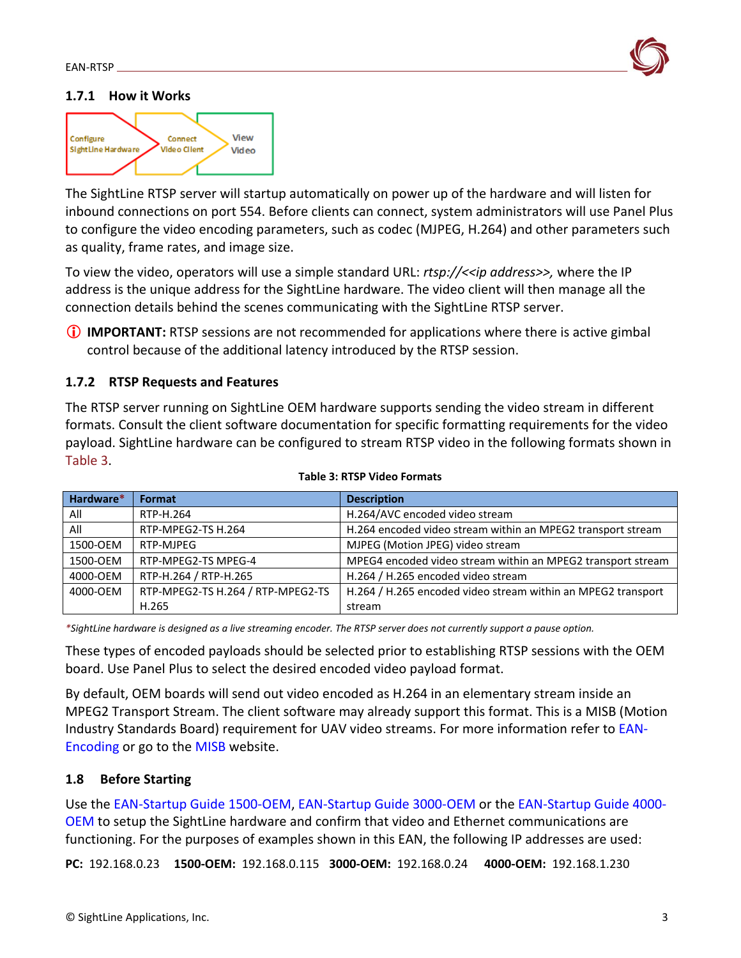

## <span id="page-3-0"></span>**1.7.1 How it Works**



The SightLine RTSP server will startup automatically on power up of the hardware and will listen for inbound connections on port 554. Before clients can connect, system administrators will use Panel Plus to configure the video encoding parameters, such as codec (MJPEG, H.264) and other parameters such as quality, frame rates, and image size.

To view the video, operators will use a simple standard URL: *rtsp://<<ip address>>,* where the IP address is the unique address for the SightLine hardware. The video client will then manage all the connection details behind the scenes communicating with the SightLine RTSP server.

 **IMPORTANT:** RTSP sessions are not recommended for applications where there is active gimbal control because of the additional latency introduced by the RTSP session.

## <span id="page-3-1"></span>**1.7.2 RTSP Requests and Features**

The RTSP server running on SightLine OEM hardware supports sending the video stream in different formats. Consult the client software documentation for specific formatting requirements for the video payload. SightLine hardware can be configured to stream RTSP video in the following formats shown in Table 3.

| Hardware* | Format                            | <b>Description</b>                                           |
|-----------|-----------------------------------|--------------------------------------------------------------|
| All       | RTP-H.264                         | H.264/AVC encoded video stream                               |
| All       | RTP-MPEG2-TS H.264                | H.264 encoded video stream within an MPEG2 transport stream  |
| 1500-OEM  | RTP-MJPEG                         | MJPEG (Motion JPEG) video stream                             |
| 1500-OEM  | RTP-MPEG2-TS MPEG-4               | MPEG4 encoded video stream within an MPEG2 transport stream  |
| 4000-OEM  | RTP-H.264 / RTP-H.265             | H.264 / H.265 encoded video stream                           |
| 4000-OEM  | RTP-MPEG2-TS H.264 / RTP-MPEG2-TS | H.264 / H.265 encoded video stream within an MPEG2 transport |
|           | H.265                             | stream                                                       |

|  |  |  |  | <b>Table 3: RTSP Video Formats</b> |
|--|--|--|--|------------------------------------|
|--|--|--|--|------------------------------------|

*\*SightLine hardware is designed as a live streaming encoder. The RTSP server does not currently support a pause option.*

These types of encoded payloads should be selected prior to establishing RTSP sessions with the OEM board. Use Panel Plus to select the desired encoded video payload format.

By default, OEM boards will send out video encoded as H.264 in an elementary stream inside an MPEG2 Transport Stream. The client software may already support this format. This is a MISB (Motion Industry Standards Board) requirement for UAV video streams. For more information refer to [EAN-](https://sightlineapplications.com/wp-content/uploads/EAN-Encoding.pdf)[Encoding](https://sightlineapplications.com/wp-content/uploads/EAN-Encoding.pdf) or go to the [MISB](https://nsgreg.nga.mil/misb.jsp) website.

## <span id="page-3-2"></span>**1.8 Before Starting**

Use the [EAN-Startup Guide 1500-OEM,](http://sightlineapplications.com/wp-content/uploads/EAN-Startup-Guide-1500-OEM.pdf) [EAN-Startup Guide 3000-OEM](http://sightlineapplications.com/wp-content/uploads/EAN-Startup-Guide-3000-OEM.pdf) or the [EAN-Startup Guide 4000-](https://sightlineapplications.com/wp-content/uploads/EAN-Startup-Guide-4000-OEM.pdf) [OEM](https://sightlineapplications.com/wp-content/uploads/EAN-Startup-Guide-4000-OEM.pdf) to setup the SightLine hardware and confirm that video and Ethernet communications are functioning. For the purposes of examples shown in this EAN, the following IP addresses are used:

**PC:** 192.168.0.23 **1500-OEM:** 192.168.0.115 **3000-OEM:** 192.168.0.24 **4000-OEM:** 192.168.1.230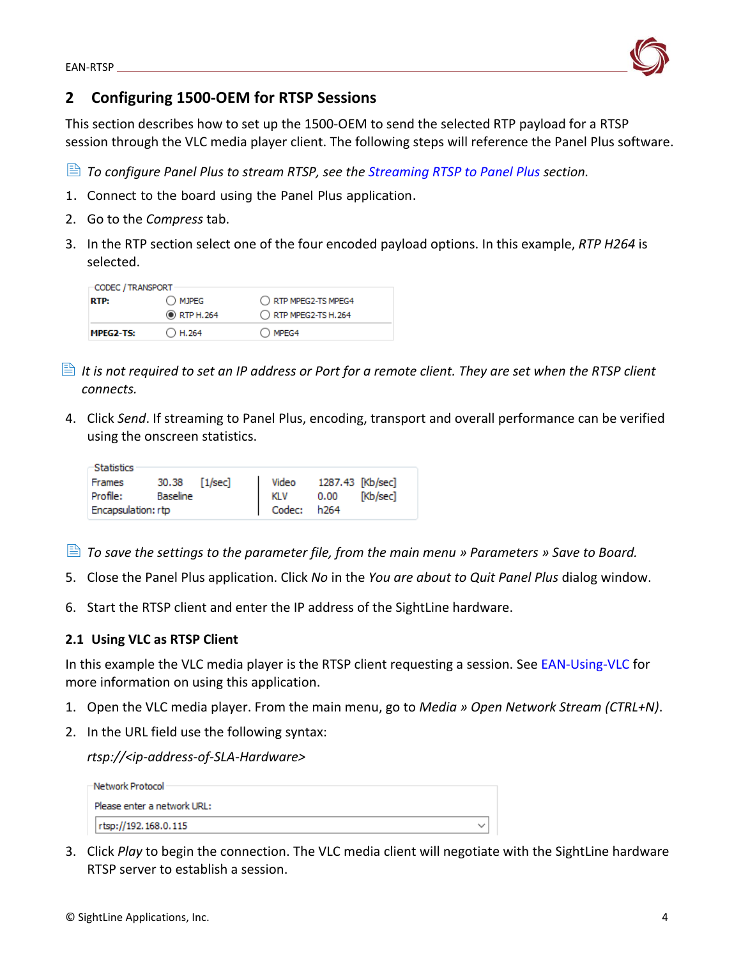<span id="page-4-0"></span>

This section describes how to set up the 1500-OEM to send the selected RTP payload for a RTSP session through the VLC media player client. The following steps will reference the Panel Plus software.

*To configure Panel Plus to stream RTSP, see the [Streaming RTSP to Panel Plus](#page-16-1) section.* 

- 1. Connect to the board using the Panel Plus application.
- 2. Go to the *Compress* tab.
- 3. In the RTP section select one of the four encoded payload options. In this example, *RTP H264* is selected.

| CODEC / TRANSPORT - |                    |                      |  |  |  |
|---------------------|--------------------|----------------------|--|--|--|
| <b>RTP:</b>         | O MJPEG            | O RTP MPEG2-TS MPEG4 |  |  |  |
|                     | <b>O</b> RTP H.264 | RTP MPEG2-TS H.264   |  |  |  |
| MPEG2-TS:           | $\bigcirc$ H.264   | $\bigcirc$ MPEG4     |  |  |  |

- *It is not required to set an IP address or Port for a remote client. They are set when the RTSP client connects.*
- 4. Click *Send*. If streaming to Panel Plus, encoding, transport and overall performance can be verified using the onscreen statistics.

| -Statistics        |                 |                                  |  |
|--------------------|-----------------|----------------------------------|--|
| Frames             | 30.38 [1/sec]   | Video 1287.43 [Kb/sec]           |  |
| Profile:           | <b>Baseline</b> | KLV 0.00 [Kb/sec]<br>Codec: h264 |  |
| Encapsulation: rtp |                 |                                  |  |

- *To save the settings to the parameter file, from the main menu » Parameters » Save to Board.*
- 5. Close the Panel Plus application. Click *No* in the *You are about to Quit Panel Plus* dialog window.
- 6. Start the RTSP client and enter the IP address of the SightLine hardware.

## <span id="page-4-1"></span>**2.1 Using VLC as RTSP Client**

In this example the VLC media player is the RTSP client requesting a session. See [EAN-Using-VLC](https://sightlineapplications.com/wp-content/uploads/EAN-Using-VLC.pdf) for more information on using this application.

- 1. Open the VLC media player. From the main menu, go to *Media » Open Network Stream (CTRL+N)*.
- 2. In the URL field use the following syntax:

*rtsp://<ip-address-of-SLA-Hardware>* 

| –Network Protocol           |  |
|-----------------------------|--|
| Please enter a network URL: |  |
| rtsp://192.168.0.115        |  |

3. Click *Play* to begin the connection. The VLC media client will negotiate with the SightLine hardware RTSP server to establish a session.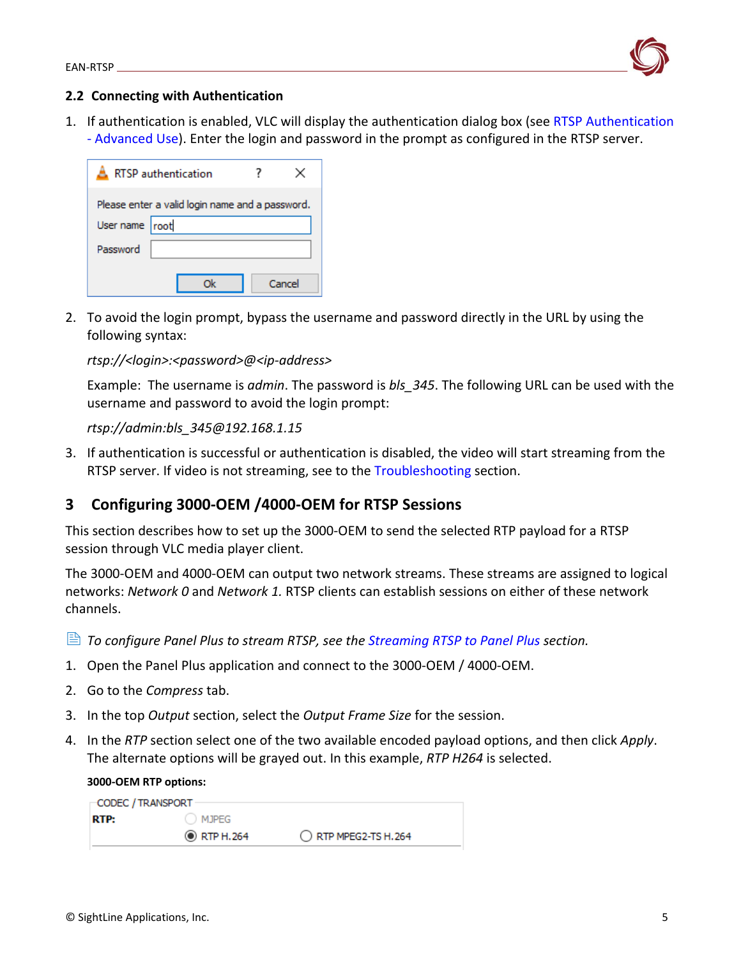

## <span id="page-5-0"></span>**2.2 Connecting with Authentication**

1. If authentication is enabled, VLC will display the authentication dialog box (see [RTSP Authentication](#page-8-2)  - [Advanced Use\)](#page-8-2). Enter the login and password in the prompt as configured in the RTSP server.

| RTSP authentication                             |  | ×      |  |  |
|-------------------------------------------------|--|--------|--|--|
| Please enter a valid login name and a password. |  |        |  |  |
| User name root                                  |  |        |  |  |
| Password                                        |  |        |  |  |
|                                                 |  | Cancel |  |  |

2. To avoid the login prompt, bypass the username and password directly in the URL by using the following syntax:

## *rtsp://<login>:<password>@<ip-address>*

Example: The username is *admin*. The password is *bls\_345*. The following URL can be used with the username and password to avoid the login prompt:

### *rtsp://admin:bls\_345@192.168.1.15*

3. If authentication is successful or authentication is disabled, the video will start streaming from the RTSP server. If video is not streaming, see to the [Troubleshooting](#page-20-0) section.

## <span id="page-5-1"></span>**3 Configuring 3000-OEM /4000-OEM for RTSP Sessions**

This section describes how to set up the 3000-OEM to send the selected RTP payload for a RTSP session through VLC media player client.

The 3000-OEM and 4000-OEM can output two network streams. These streams are assigned to logical networks: *Network 0* and *Network 1.* RTSP clients can establish sessions on either of these network channels.

*To configure Panel Plus to stream RTSP, see the [Streaming RTSP to Panel Plus](#page-16-1) section.*

- 1. Open the Panel Plus application and connect to the 3000-OEM / 4000-OEM.
- 2. Go to the *Compress* tab.
- 3. In the top *Output* section, select the *Output Frame Size* for the session.
- 4. In the *RTP* section select one of the two available encoded payload options, and then click *Apply*. The alternate options will be grayed out. In this example, *RTP H264* is selected.

#### **3000-OEM RTP options:**

| <b>⊢CODEC / TRANSPORT -</b> |                    |                    |
|-----------------------------|--------------------|--------------------|
| <b>RTP:</b>                 | ( ) MJPEG          |                    |
|                             | <b>O</b> RTP H.264 | RTP MPEG2-TS H.264 |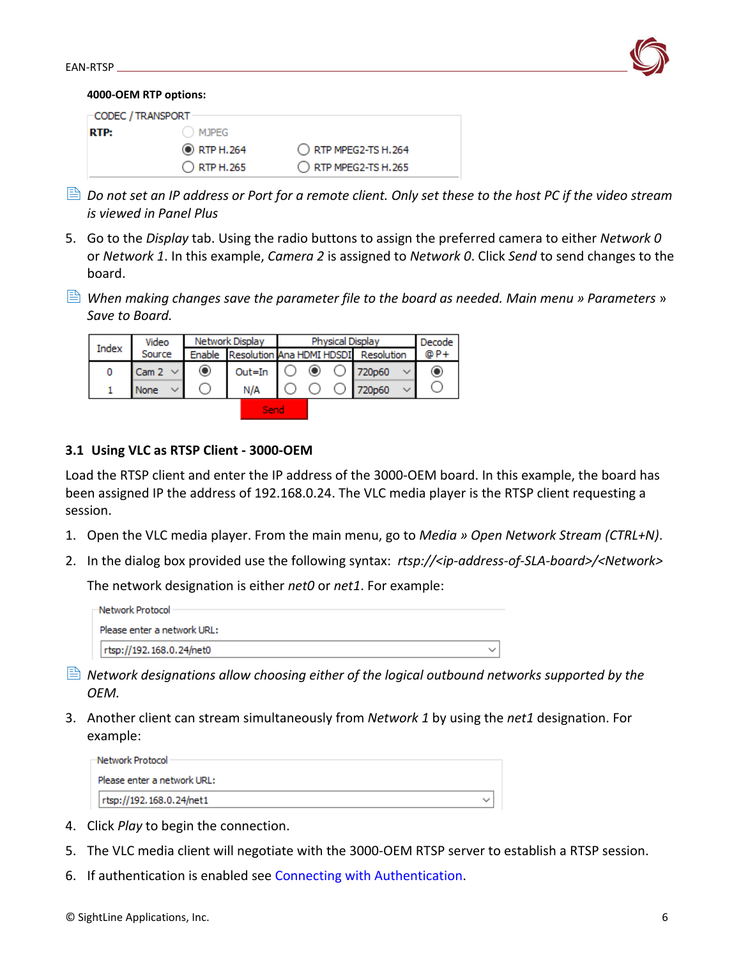

#### **4000-OEM RTP options:**

| CODEC / TRANSPORT |                    |                      |
|-------------------|--------------------|----------------------|
| RTP:              | MJPEG              |                      |
|                   | <b>O</b> RTP H.264 | O RTP MPEG2-TS H.264 |
|                   | O RTP H.265        | RTP MPEG2-TS H.265   |

- $\Box$  Do not set an IP address or Port for a remote client. Only set these to the host PC if the video stream *is viewed in Panel Plus*
- 5. Go to the *Display* tab. Using the radio buttons to assign the preferred camera to either *Network 0* or *Network 1*. In this example, *Camera 2* is assigned to *Network 0*. Click *Send* to send changes to the board.
- *When making changes save the parameter file to the board as needed. Main menu » Parameters* » *Save to Board.*

| Video<br>Index |              | Network Display |                                             | Physical Display |         |  |                   | Decode |      |
|----------------|--------------|-----------------|---------------------------------------------|------------------|---------|--|-------------------|--------|------|
|                | Source       |                 | Enable Resolution Ana HDMI HDSDI Resolution |                  |         |  |                   |        | @ P+ |
| 0              | Cam 2 $\sim$ | ◉               | $Out = In$                                  |                  | $\circ$ |  | $\bigcirc$ 720p60 |        | ◉    |
|                | None         |                 | N/A                                         |                  |         |  | 720p60            |        |      |
|                |              |                 | Senc                                        |                  |         |  |                   |        |      |

## <span id="page-6-0"></span>**3.1 Using VLC as RTSP Client - 3000-OEM**

Load the RTSP client and enter the IP address of the 3000-OEM board. In this example, the board has been assigned IP the address of 192.168.0.24. The VLC media player is the RTSP client requesting a session.

- 1. Open the VLC media player. From the main menu, go to *Media » Open Network Stream (CTRL+N)*.
- 2. In the dialog box provided use the following syntax: *rtsp://<ip-address-of-SLA-board>/<Network>*

The network designation is either *net0* or *net1*. For example:

| -Network Protocol           |  |
|-----------------------------|--|
| Please enter a network URL: |  |
| rtsp://192.168.0.24/net0    |  |

- *Network designations allow choosing either of the logical outbound networks supported by the OEM.*
- 3. Another client can stream simultaneously from *Network 1* by using the *net1* designation. For example:

| -Network Protocol ·         |  |
|-----------------------------|--|
| Please enter a network URL: |  |
| rtsp://192.168.0.24/net1    |  |

- 4. Click *Play* to begin the connection.
- 5. The VLC media client will negotiate with the 3000-OEM RTSP server to establish a RTSP session.
- 6. If authentication is enabled see [Connecting with Authentication.](#page-5-0)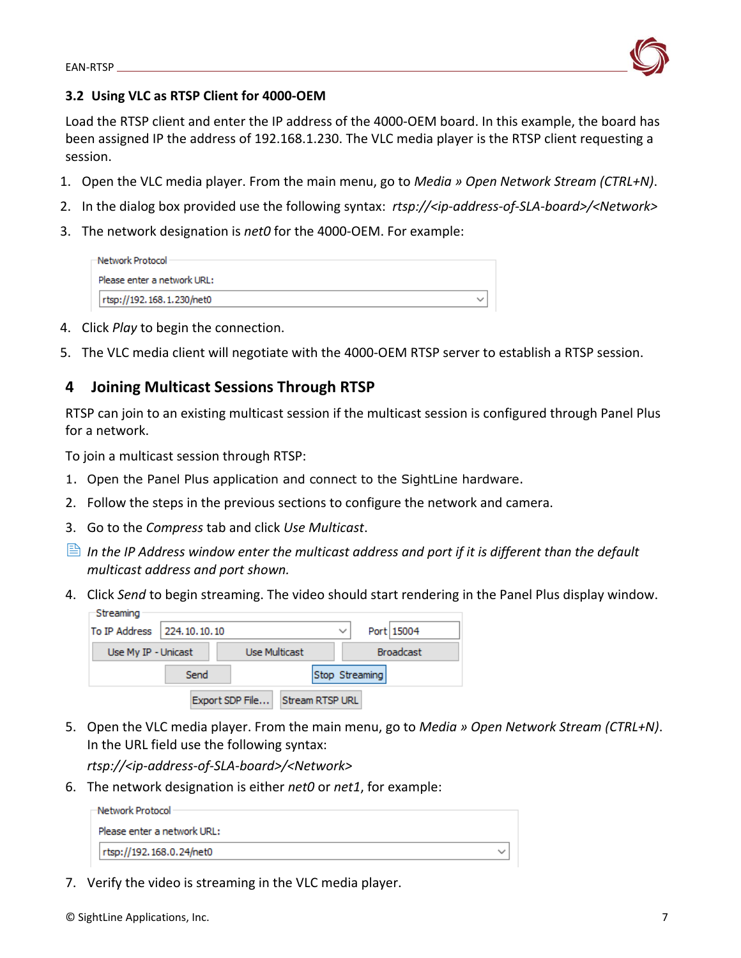

## <span id="page-7-0"></span>**3.2 Using VLC as RTSP Client for 4000-OEM**

Load the RTSP client and enter the IP address of the 4000-OEM board. In this example, the board has been assigned IP the address of 192.168.1.230. The VLC media player is the RTSP client requesting a session.

- 1. Open the VLC media player. From the main menu, go to *Media » Open Network Stream (CTRL+N)*.
- 2. In the dialog box provided use the following syntax: *rtsp://<ip-address-of-SLA-board>/<Network>*
- 3. The network designation is *net0* for the 4000-OEM. For example:

| -Network Protocol ·         |  |
|-----------------------------|--|
| Please enter a network URL: |  |
| rtsp://192.168.1.230/net0   |  |

- 4. Click *Play* to begin the connection.
- 5. The VLC media client will negotiate with the 4000-OEM RTSP server to establish a RTSP session.

## <span id="page-7-1"></span>**4 Joining Multicast Sessions Through RTSP**

RTSP can join to an existing multicast session if the multicast session is configured through Panel Plus for a network.

To join a multicast session through RTSP:

- 1. Open the Panel Plus application and connect to the SightLine hardware.
- 2. Follow the steps in the previous sections to configure the network and camera.
- 3. Go to the *Compress* tab and click *Use Multicast*.
- *In the IP Address window enter the multicast address and port if it is different than the default multicast address and port shown.*
- 4. Click *Send* to begin streaming. The video should start rendering in the Panel Plus display window. Streaming

| To IP Address   224, 10, 10, 10 |      |                 |                        | $\check{ }$    | Port 15004       |
|---------------------------------|------|-----------------|------------------------|----------------|------------------|
| Use My IP - Unicast             |      |                 | Use Multicast          |                | <b>Broadcast</b> |
|                                 | Send |                 |                        | Stop Streaming |                  |
|                                 |      | Export SDP File | <b>Stream RTSP URL</b> |                |                  |

5. Open the VLC media player. From the main menu, go to *Media » Open Network Stream (CTRL+N)*. In the URL field use the following syntax:

*rtsp://<ip-address-of-SLA-board>/<Network>*

6. The network designation is either *net0* or *net1*, for example:

| –Network Protocol ·         |  |
|-----------------------------|--|
| Please enter a network URL: |  |
| rtsp://192.168.0.24/net0    |  |

7. Verify the video is streaming in the VLC media player.

© SightLine Applications, Inc. 7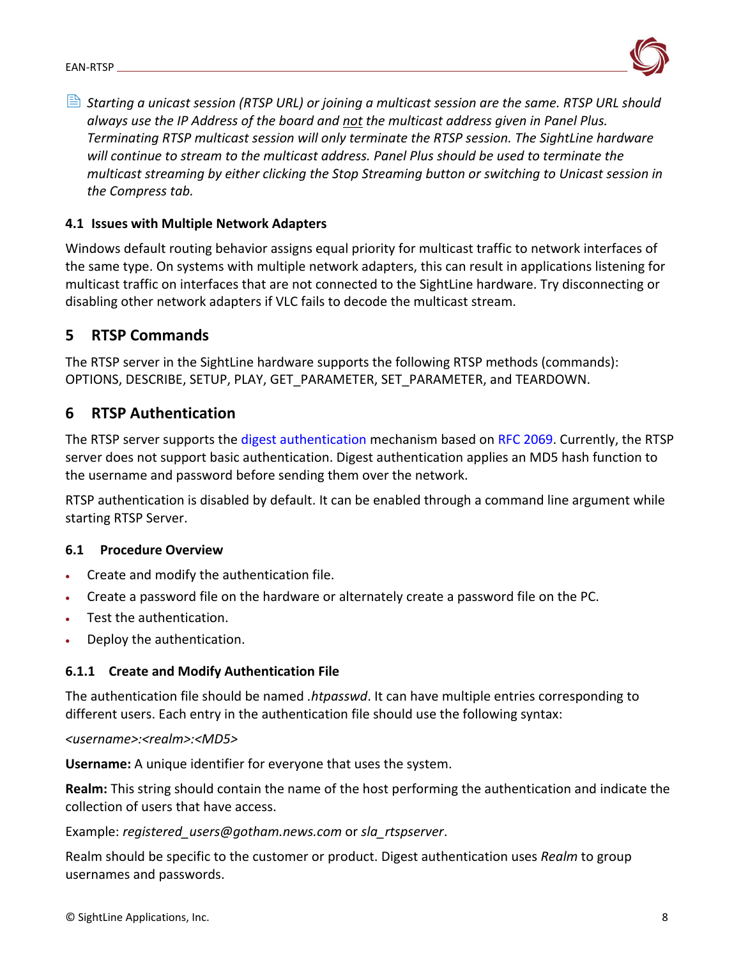

 *Starting a unicast session (RTSP URL) or joining a multicast session are the same. RTSP URL should always use the IP Address of the board and not the multicast address given in Panel Plus. Terminating RTSP multicast session will only terminate the RTSP session. The SightLine hardware will continue to stream to the multicast address. Panel Plus should be used to terminate the multicast streaming by either clicking the Stop Streaming button or switching to Unicast session in the Compress tab.*

## <span id="page-8-0"></span>**4.1 Issues with Multiple Network Adapters**

Windows default routing behavior assigns equal priority for multicast traffic to network interfaces of the same type. On systems with multiple network adapters, this can result in applications listening for multicast traffic on interfaces that are not connected to the SightLine hardware. Try disconnecting or disabling other network adapters if VLC fails to decode the multicast stream.

## <span id="page-8-1"></span>**5 RTSP Commands**

The RTSP server in the SightLine hardware supports the following RTSP methods (commands): OPTIONS, DESCRIBE, SETUP, PLAY, GET\_PARAMETER, SET\_PARAMETER, and TEARDOWN.

## <span id="page-8-2"></span>**6 RTSP Authentication**

The RTSP server supports the [digest authentication](https://en.wikipedia.org/wiki/Digest_access_authentication) mechanism based on [RFC 2069.](https://www.ietf.org/rfc/rfc2069.txt) Currently, the RTSP server does not support basic authentication. Digest authentication applies an MD5 hash function to the username and password before sending them over the network.

RTSP authentication is disabled by default. It can be enabled through a command line argument while starting RTSP Server.

## <span id="page-8-3"></span>**6.1 Procedure Overview**

- Create and modify the authentication file.
- Create a password file on the hardware or alternately create a password file on the PC.
- Test the authentication.
- Deploy the authentication.

## <span id="page-8-4"></span>**6.1.1 Create and Modify Authentication File**

The authentication file should be named *.htpasswd*. It can have multiple entries corresponding to different users. Each entry in the authentication file should use the following syntax:

## *<username>:<realm>:<MD5>*

**Username:** A unique identifier for everyone that uses the system.

**Realm:** This string should contain the name of the host performing the authentication and indicate the collection of users that have access.

## Example: *registered\_users@gotham.news.com* or *sla\_rtspserver*.

Realm should be specific to the customer or product. Digest authentication uses *Realm* to group usernames and passwords.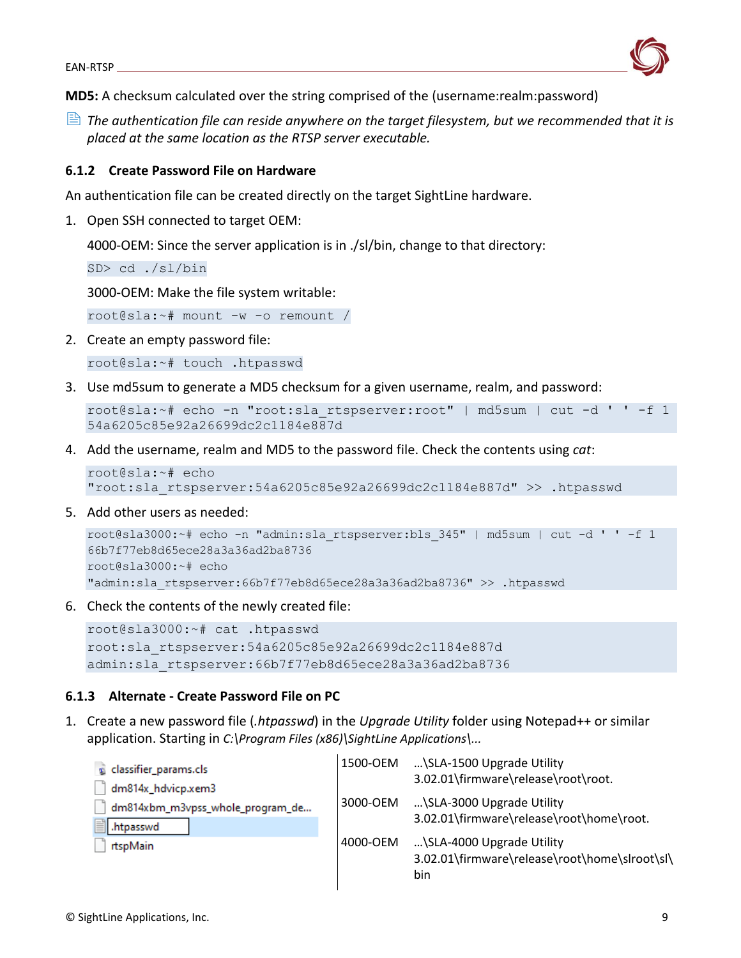

**MD5:** A checksum calculated over the string comprised of the (username:realm:password)

 *The authentication file can reside anywhere on the target filesystem, but we recommended that it is placed at the same location as the RTSP server executable.*

## <span id="page-9-0"></span>**6.1.2 Create Password File on Hardware**

An authentication file can be created directly on the target SightLine hardware.

1. Open SSH connected to target OEM:

4000-OEM: Since the server application is in ./sl/bin, change to that directory:

SD> cd ./sl/bin

3000-OEM: Make the file system writable:

root@sla:~# mount -w -o remount /

2. Create an empty password file:

root@sla:~# touch .htpasswd

3. Use md5sum to generate a MD5 checksum for a given username, realm, and password:

```
root@sla:~# echo -n "root:sla_rtspserver:root" | md5sum | cut -d ' ' -f 1
54a6205c85e92a26699dc2c1184e887d
```
4. Add the username, realm and MD5 to the password file. Check the contents using *cat*:

```
root@sla:~# echo 
"root:sla_rtspserver:54a6205c85e92a26699dc2c1184e887d" >> .htpasswd
```
5. Add other users as needed:

```
root@sla3000:~# echo -n "admin:sla_rtspserver:bls_345" | md5sum | cut -d ' ' -f 1
66b7f77eb8d65ece28a3a36ad2ba8736
root@sla3000:~# echo
"admin:sla_rtspserver:66b7f77eb8d65ece28a3a36ad2ba8736" >> .htpasswd
```
6. Check the contents of the newly created file:

```
root@sla3000:~# cat .htpasswd
root:sla_rtspserver:54a6205c85e92a26699dc2c1184e887d
admin:sla_rtspserver:66b7f77eb8d65ece28a3a36ad2ba8736
```
## <span id="page-9-1"></span>**6.1.3 Alternate - Create Password File on PC**

1. Create a new password file (*.htpasswd*) in the *Upgrade Utility* folder using Notepad++ or similar application. Starting in *C:\Program Files (x86)\SightLine Applications\...*

|          | \SLA-1500 Upgrade Utility<br>3.02.01\firmware\release\root\root.                  |
|----------|-----------------------------------------------------------------------------------|
| 3000-OEM | \SLA-3000 Upgrade Utility                                                         |
|          | 3.02.01\firmware\release\root\home\root.                                          |
| 4000-OEM | \SLA-4000 Upgrade Utility<br>3.02.01\firmware\release\root\home\slroot\sl\<br>bin |
|          | 1500-OEM                                                                          |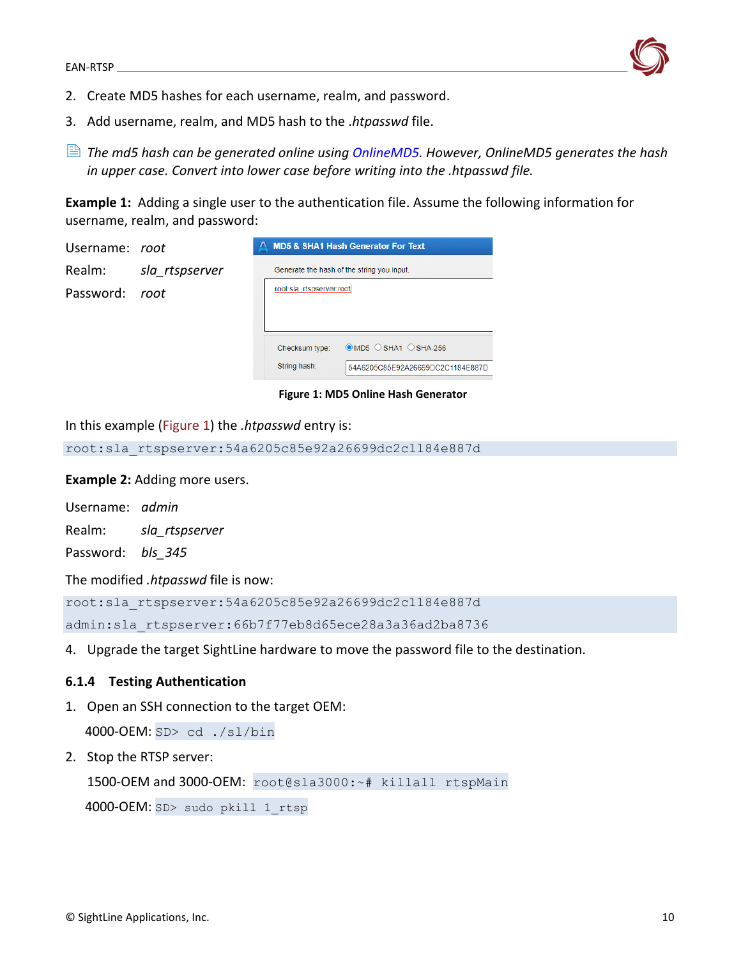

- 2. Create MD5 hashes for each username, realm, and password.
- 3. Add username, realm, and MD5 hash to the .*htpasswd* file.
- *The md5 hash can be generated online using [OnlineMD5.](http://onlinemd5.com/) However, OnlineMD5 generates the hash in upper case. Convert into lower case before writing into the .htpasswd file.*

**Example 1:** Adding a single user to the authentication file. Assume the following information for username, realm, and password:

| Username: root |                |                                            | A MD5 & SHA1 Hash Generator For Text     |
|----------------|----------------|--------------------------------------------|------------------------------------------|
| Realm:         | sla_rtspserver | Generate the hash of the string you input. |                                          |
| Password: root |                | root:sla_rtspserver:root                   |                                          |
|                |                | Checksum type:                             | $\odot$ MD5 $\odot$ SHA1 $\odot$ SHA-256 |
|                |                | String hash:                               | 54A6205C85E92A26699DC2C1184E887D         |

#### **Figure 1: MD5 Online Hash Generator**

In this example (Figure 1) the *.htpasswd* entry is:

root:sla\_rtspserver:54a6205c85e92a26699dc2c1184e887d

**Example 2:** Adding more users.

Username: *admin*

Realm: *sla\_rtspserver*

Password: *bls\_345*

The modified *.htpasswd* file is now:

root:sla\_rtspserver:54a6205c85e92a26699dc2c1184e887d admin:sla\_rtspserver:66b7f77eb8d65ece28a3a36ad2ba8736

4. Upgrade the target SightLine hardware to move the password file to the destination.

#### <span id="page-10-0"></span>**6.1.4 Testing Authentication**

1. Open an SSH connection to the target OEM:

4000-OEM: SD> cd ./sl/bin

2. Stop the RTSP server:

1500-OEM and 3000-OEM: root@sla3000:~# killall rtspMain

4000-OEM: SD> sudo pkill 1 rtsp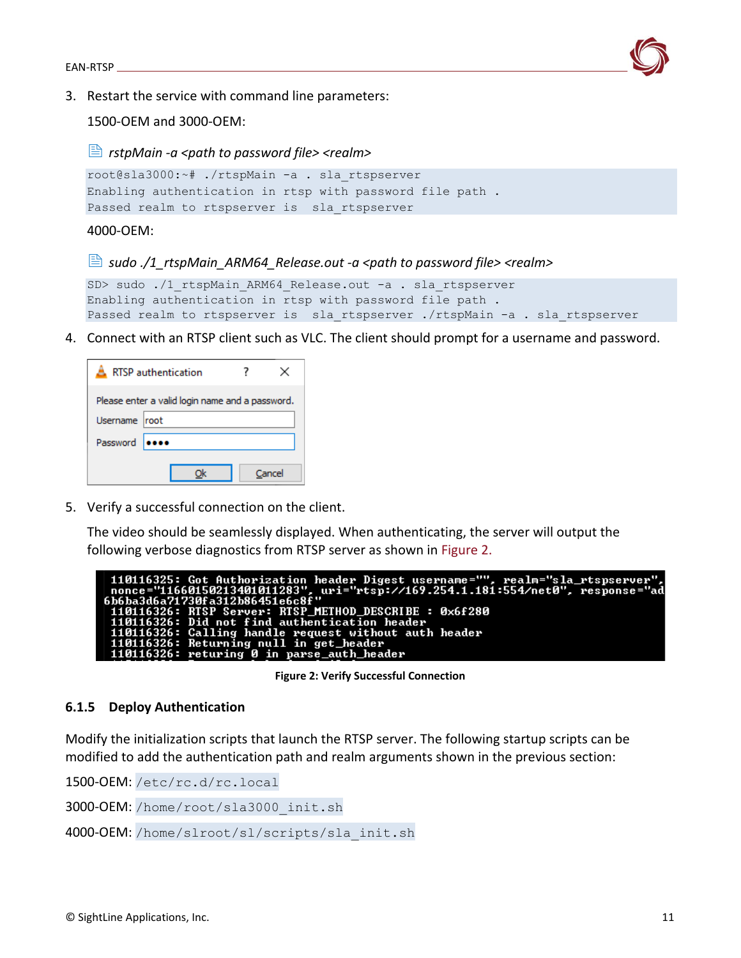

3. Restart the service with command line parameters:

1500-OEM and 3000-OEM:

*rstpMain -a <path to password file> <realm>*

```
root@sla3000:~# ./rtspMain -a . sla_rtspserver
Enabling authentication in rtsp with password file path .
Passed realm to rtspserver is sla rtspserver
```
4000-OEM:

### *sudo ./1\_rtspMain\_ARM64\_Release.out -a <path to password file> <realm>*

```
SD> sudo ./1 rtspMain ARM64 Release.out -a . sla rtspserver
Enabling authentication in rtsp with password file path .
Passed realm to rtspserver is sla_rtspserver ./rtspMain -a . sla_rtspserver
```
4. Connect with an RTSP client such as VLC. The client should prompt for a username and password.

| <b>RTSP</b> authentication                      |        |  |
|-------------------------------------------------|--------|--|
| Please enter a valid login name and a password. |        |  |
|                                                 |        |  |
|                                                 |        |  |
|                                                 | Cancel |  |
|                                                 |        |  |

5. Verify a successful connection on the client.

The video should be seamlessly displayed. When authenticating, the server will output the following verbose diagnostics from RTSP server as shown in Figure 2.

| - 110116325: Got Authorization header Digest username="", realm="sla_rtspserver",   |
|-------------------------------------------------------------------------------------|
| $-$ nonce="11660150213401011283", uri="rtsp://169.254.1.181:554/net0", response="ad |
| .6b6ba3d6a71730fa312b86451e6c8f"                                                    |
| 110116326: RTSP Server: RTSP_METHOD_DESCRIBE : 0x6f280                              |
| $\pm$ 110116326: Did not find authentication header                                 |
| 110116326: Calling handle request without auth header                               |
| 110116326: Returning null in get_header                                             |
| 110116326: returing 0 in parse_auth_header                                          |

**Figure 2: Verify Successful Connection**

## <span id="page-11-0"></span>**6.1.5 Deploy Authentication**

Modify the initialization scripts that launch the RTSP server. The following startup scripts can be modified to add the authentication path and realm arguments shown in the previous section:

1500-OEM: /etc/rc.d/rc.local

3000-OEM: /home/root/sla3000\_init.sh

4000-OEM: /home/slroot/sl/scripts/sla\_init.sh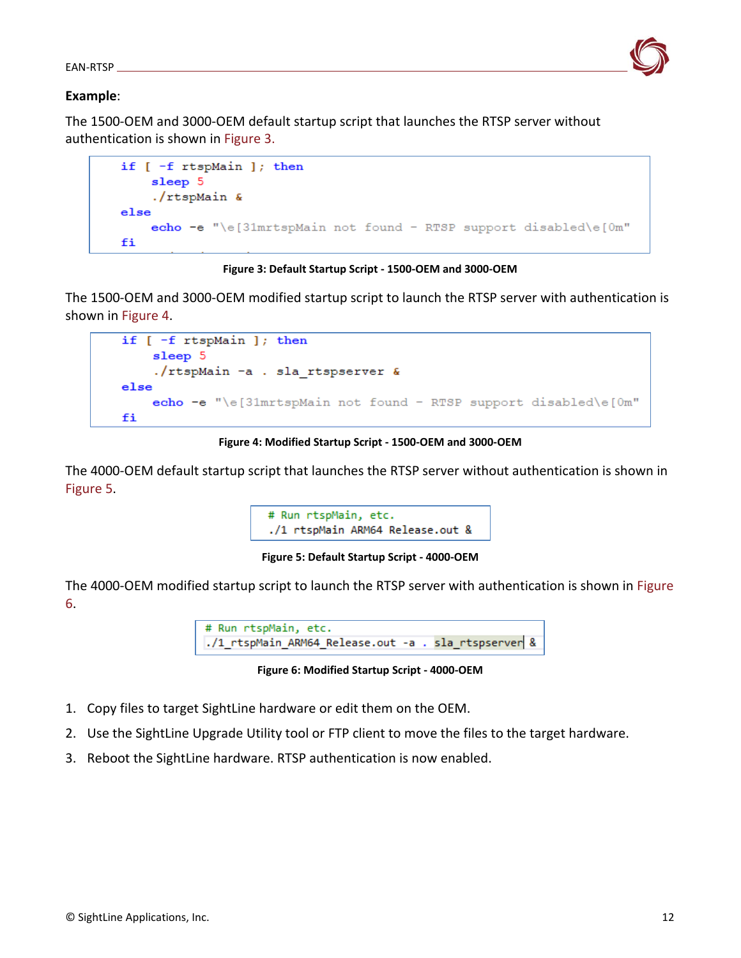

## **Example**:

The 1500-OEM and 3000-OEM default startup script that launches the RTSP server without authentication is shown in Figure 3.

```
if [-f rtspMain ]; then
    sleep 5
    ./rtspMain &
else
    echo -e "\e[31mrtspMain not found - RTSP support disabled\e[0m"
fi
```


The 1500-OEM and 3000-OEM modified startup script to launch the RTSP server with authentication is shown in Figure 4.

```
if [-f rtspMain ]; then
    sleep 5
    ./rtspMain -a . sla_rtspserver &
else
    echo -e "\e[31mrtspMain not found - RTSP support disabled\e[0m"
fi
```
**Figure 4: Modified Startup Script - 1500-OEM and 3000-OEM**

The 4000-OEM default startup script that launches the RTSP server without authentication is shown in Figure 5.



**Figure 5: Default Startup Script - 4000-OEM**

The 4000-OEM modified startup script to launch the RTSP server with authentication is shown in Figure 6.



**Figure 6: Modified Startup Script - 4000-OEM**

- 1. Copy files to target SightLine hardware or edit them on the OEM.
- 2. Use the SightLine Upgrade Utility tool or FTP client to move the files to the target hardware.
- 3. Reboot the SightLine hardware. RTSP authentication is now enabled.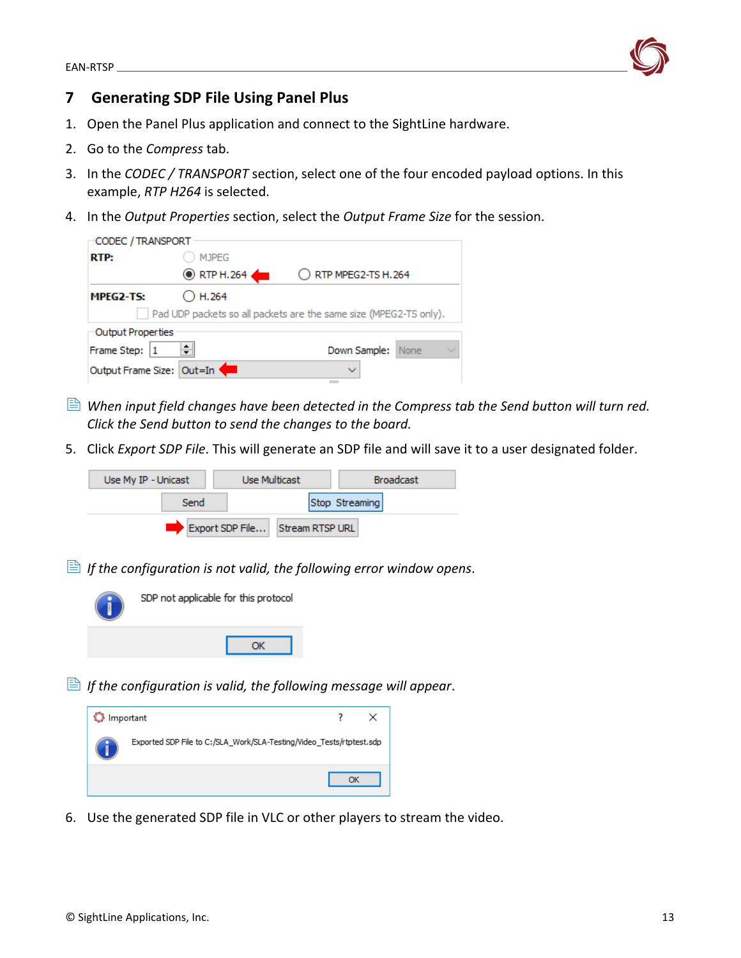

## <span id="page-13-0"></span>**7 Generating SDP File Using Panel Plus**

- 1. Open the Panel Plus application and connect to the SightLine hardware.
- 2. Go to the *Compress* tab.
- 3. In the *CODEC / TRANSPORT* section, select one of the four encoded payload options. In this example, *RTP H264* is selected.
- 4. In the *Output Properties* section, select the *Output Frame Size* for the session.

| CODEC / TRANSPORT         |                   |                                                                   |
|---------------------------|-------------------|-------------------------------------------------------------------|
| RTP:                      | <b>MJPEG</b>      |                                                                   |
|                           | <b>EXTP H.264</b> | $\bigcirc$ RTP MPEG2-TS H.264                                     |
| MPEG2-TS:                 | H.264             |                                                                   |
|                           |                   | Pad UDP packets so all packets are the same size (MPEG2-TS only). |
| Output Properties         |                   |                                                                   |
| Frame Step:               | ÷۱                | Down Sample:<br>None                                              |
| Output Frame Size: Out=In |                   | $\checkmark$                                                      |
|                           |                   |                                                                   |

- **E** When input field changes have been detected in the Compress tab the Send button will turn red. *Click the Send button to send the changes to the board.*
- 5. Click *Export SDP File*. This will generate an SDP file and will save it to a user designated folder.



*If the configuration is not valid, the following error window opens*.



*If the configuration is valid, the following message will appear.* 



6. Use the generated SDP file in VLC or other players to stream the video.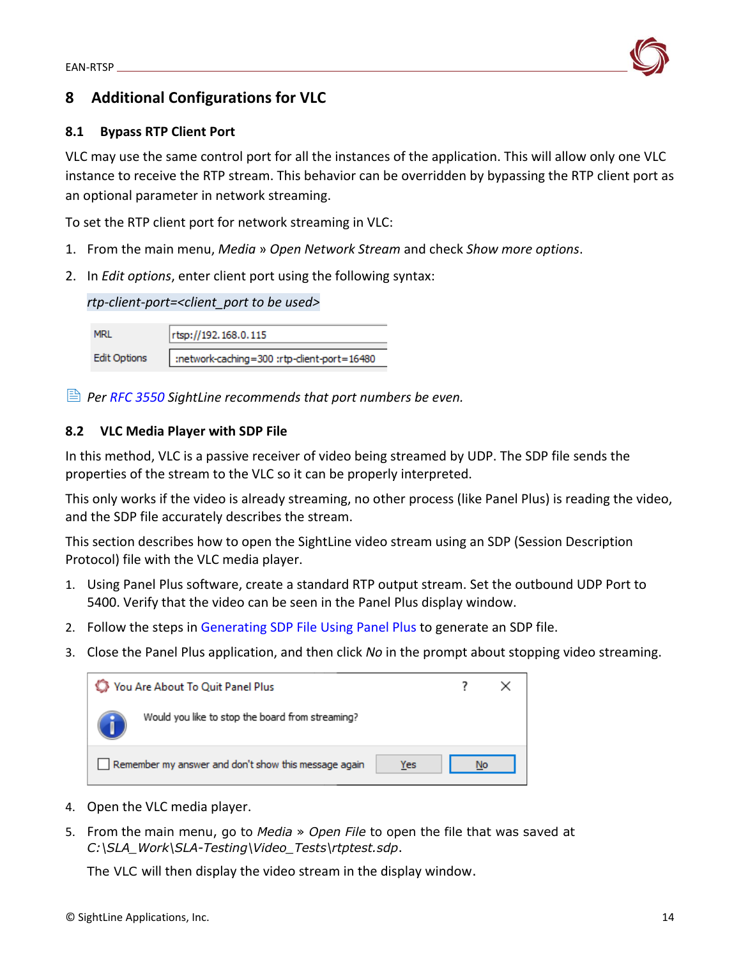

## <span id="page-14-0"></span>**8 Additional Configurations for VLC**

## <span id="page-14-1"></span>**8.1 Bypass RTP Client Port**

VLC may use the same control port for all the instances of the application. This will allow only one VLC instance to receive the RTP stream. This behavior can be overridden by bypassing the RTP client port as an optional parameter in network streaming.

To set the RTP client port for network streaming in VLC:

- 1. From the main menu, *Media* » *Open Network Stream* and check *Show more options*.
- 2. In *Edit options*, enter client port using the following syntax:

*rtp-client-port=<client\_port to be used>*

| <b>MRI</b>          | Trtsp://192.168.0.115                      |
|---------------------|--------------------------------------------|
| <b>Edit Options</b> | :network-caching=300 :rtp-dient-port=16480 |

*Per [RFC 3550](https://datatracker.ietf.org/doc/html/rfc3550#section-11) SightLine recommends that port numbers be even.*

## <span id="page-14-2"></span>**8.2 VLC Media Player with SDP File**

In this method, VLC is a passive receiver of video being streamed by UDP. The SDP file sends the properties of the stream to the VLC so it can be properly interpreted.

This only works if the video is already streaming, no other process (like Panel Plus) is reading the video, and the SDP file accurately describes the stream.

This section describes how to open the SightLine video stream using an SDP (Session Description Protocol) file with the VLC media player.

- 1. Using Panel Plus software, create a standard RTP output stream. Set the outbound UDP Port to 5400. Verify that the video can be seen in the Panel Plus display window.
- 2. Follow the steps in [Generating SDP File Using Panel Plus](#page-13-0) to generate an SDP file.
- 3. Close the Panel Plus application, and then click *No* in the prompt about stopping video streaming.

| You Are About To Quit Panel Plus                     |     |  |
|------------------------------------------------------|-----|--|
| Would you like to stop the board from streaming?     |     |  |
| Remember my answer and don't show this message again | Yes |  |

- 4. Open the VLC media player.
- 5. From the main menu, go to *Media* » *Open File* to open the file that was saved at *C:\SLA\_Work\SLA-Testing\Video\_Tests\rtptest.sdp*.

The VLC will then display the video stream in the display window.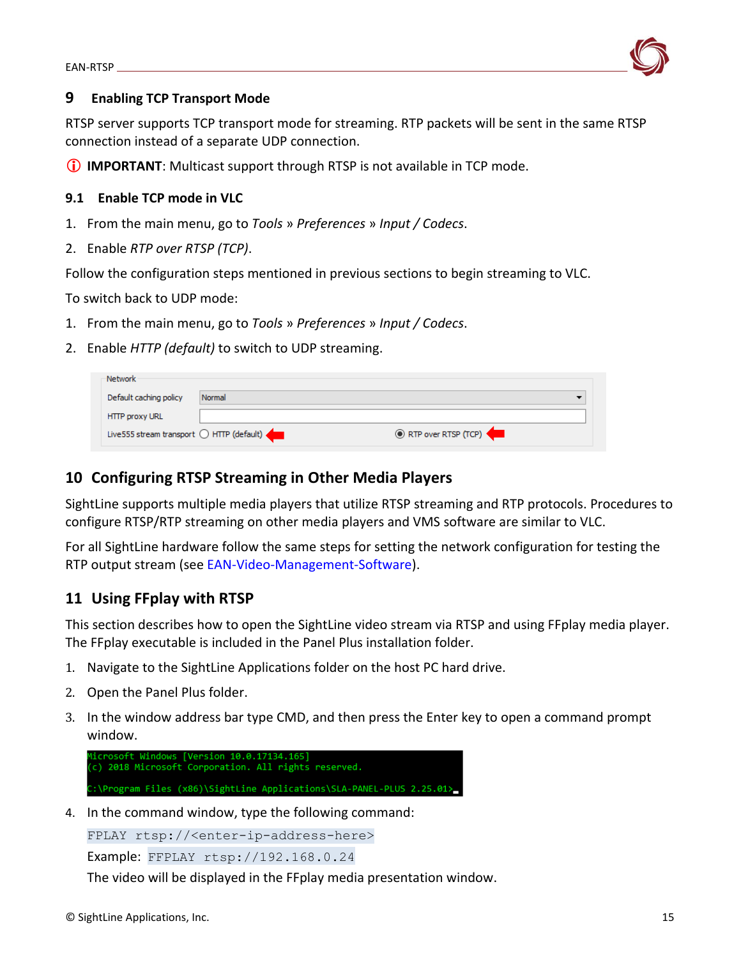

## <span id="page-15-0"></span>**9 Enabling TCP Transport Mode**

RTSP server supports TCP transport mode for streaming. RTP packets will be sent in the same RTSP connection instead of a separate UDP connection.

**IMPORTANT**: Multicast support through RTSP is not available in TCP mode.

## <span id="page-15-1"></span>**9.1 Enable TCP mode in VLC**

- 1. From the main menu, go to *Tools* » *Preferences* » *Input / Codecs*.
- 2. Enable *RTP over RTSP (TCP)*.

Follow the configuration steps mentioned in previous sections to begin streaming to VLC.

To switch back to UDP mode:

- 1. From the main menu, go to *Tools* » *Preferences* » *Input / Codecs*.
- 2. Enable *HTTP (default)* to switch to UDP streaming.

| Network                                    |        |                     |
|--------------------------------------------|--------|---------------------|
| Default caching policy                     | Normal |                     |
| <b>HTTP proxy URL</b>                      |        |                     |
| Live 555 stream transport O HTTP (default) |        | RTP over RTSP (TCP) |

## <span id="page-15-2"></span>**10 Configuring RTSP Streaming in Other Media Players**

SightLine supports multiple media players that utilize RTSP streaming and RTP protocols. Procedures to configure RTSP/RTP streaming on other media players and VMS software are similar to VLC.

For all SightLine hardware follow the same steps for setting the network configuration for testing the RTP output stream (see [EAN-Video-Management-Software\)](https://sightlineapplications.com/wp-content/uploads/EAN-Video-Management-Software.pdf).

## <span id="page-15-3"></span>**11 Using FFplay with RTSP**

This section describes how to open the SightLine video stream via RTSP and using FFplay media player. The FFplay executable is included in the Panel Plus installation folder.

- 1. Navigate to the SightLine Applications folder on the host PC hard drive.
- 2. Open the Panel Plus folder.
- 3. In the window address bar type CMD, and then press the Enter key to open a command prompt window.

```
osoft Windows [Version 10.0.17134.165]
c) 2018 Microsoft Corporation. All rights reserved.
::\Program Files (x86)\SightLine Applications\SLA-PANEL-PLUS 2.25.01>
```
4. In the command window, type the following command:

FPLAY rtsp://<enter-ip-address-here>

Example: FFPLAY rtsp://192.168.0.24

The video will be displayed in the FFplay media presentation window.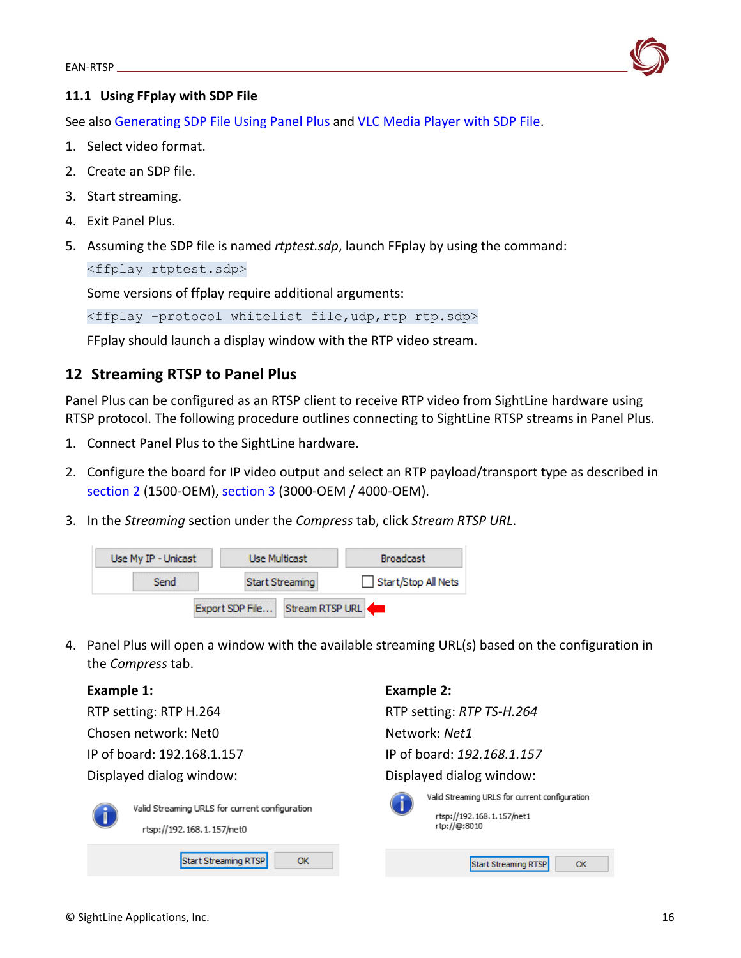

## <span id="page-16-0"></span>**11.1 Using FFplay with SDP File**

See also [Generating SDP File Using Panel Plus](#page-13-0) and [VLC Media Player with SDP File.](#page-14-2)

- 1. Select video format.
- 2. Create an SDP file.
- 3. Start streaming.
- 4. Exit Panel Plus.
- 5. Assuming the SDP file is named *rtptest.sdp*, launch FFplay by using the command:

<ffplay rtptest.sdp>

Some versions of ffplay require additional arguments:

<ffplay -protocol whitelist file,udp,rtp rtp.sdp>

FFplay should launch a display window with the RTP video stream.

## <span id="page-16-1"></span>**12 Streaming RTSP to Panel Plus**

Panel Plus can be configured as an RTSP client to receive RTP video from SightLine hardware using RTSP protocol. The following procedure outlines connecting to SightLine RTSP streams in Panel Plus.

- 1. Connect Panel Plus to the SightLine hardware.
- 2. Configure the board for IP video output and select an RTP payload/transport type as described in [section 2](#page-4-0) (1500-OEM)[, section 3](#page-5-1) (3000-OEM / 4000-OEM).
- 3. In the *Streaming* section under the *Compress* tab, click *Stream RTSP URL*.



4. Panel Plus will open a window with the available streaming URL(s) based on the configuration in the *Compress* tab.

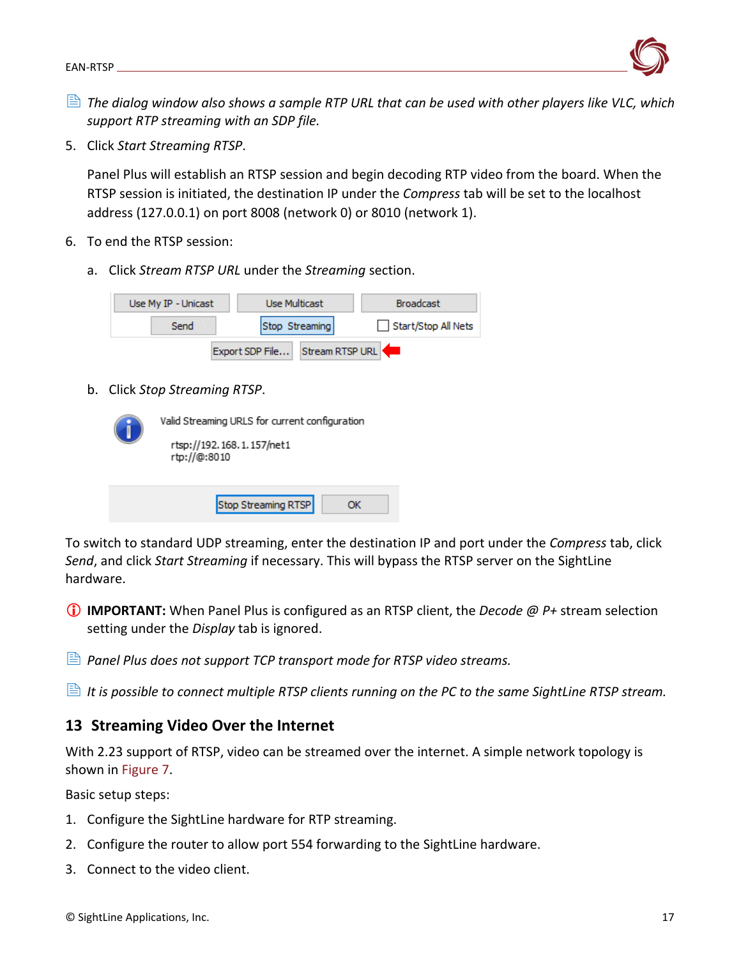

- *The dialog window also shows a sample RTP URL that can be used with other players like VLC, which support RTP streaming with an SDP file.*
- 5. Click *Start Streaming RTSP*.

Panel Plus will establish an RTSP session and begin decoding RTP video from the board. When the RTSP session is initiated, the destination IP under the *Compress* tab will be set to the localhost address (127.0.0.1) on port 8008 (network 0) or 8010 (network 1).

- 6. To end the RTSP session:
	- a. Click *Stream RTSP URL* under the *Streaming* section.

| Use My IP - Unicast |                 | Use Multicast   | <b>Broadcast</b>    |  |  |
|---------------------|-----------------|-----------------|---------------------|--|--|
| Send                |                 | Stop Streaming  | Start/Stop All Nets |  |  |
|                     | Export SDP File | Stream RTSP URL |                     |  |  |

b. Click *Stop Streaming RTSP*.

| Valid Streaming URLS for current configuration |  |  |  |  |  |
|------------------------------------------------|--|--|--|--|--|
| rtsp://192.168.1.157/net1<br>rtp://@:8010      |  |  |  |  |  |
|                                                |  |  |  |  |  |
| Stop Streaming RTSP                            |  |  |  |  |  |

To switch to standard UDP streaming, enter the destination IP and port under the *Compress* tab, click *Send*, and click *Start Streaming* if necessary. This will bypass the RTSP server on the SightLine hardware.

- **IMPORTANT:** When Panel Plus is configured as an RTSP client, the *Decode @ P+* stream selection setting under the *Display* tab is ignored.
- *Panel Plus does not support TCP transport mode for RTSP video streams.*
- <span id="page-17-0"></span>*It is possible to connect multiple RTSP clients running on the PC to the same SightLine RTSP stream.*

## **13 Streaming Video Over the Internet**

With 2.23 support of RTSP, video can be streamed over the internet. A simple network topology is shown in Figure 7.

Basic setup steps:

- 1. Configure the SightLine hardware for RTP streaming.
- 2. Configure the router to allow port 554 forwarding to the SightLine hardware.
- 3. Connect to the video client.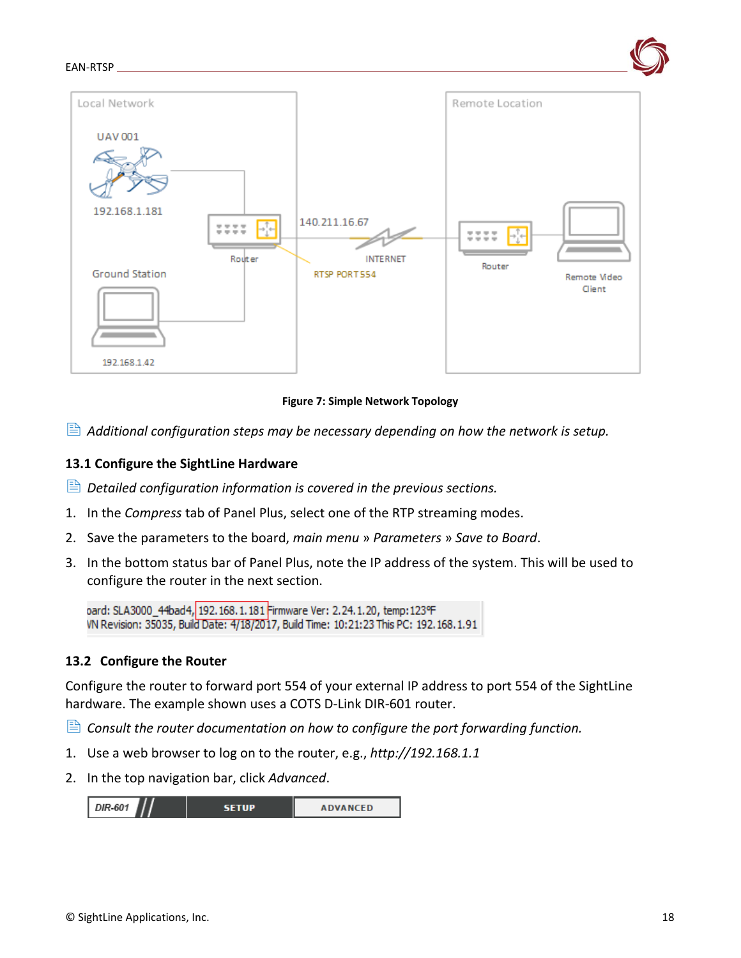

**Figure 7: Simple Network Topology**

<span id="page-18-0"></span>*Additional configuration steps may be necessary depending on how the network is setup.*

### **13.1 Configure the SightLine Hardware**

*Detailed configuration information is covered in the previous sections.* 

- 1. In the *Compress* tab of Panel Plus, select one of the RTP streaming modes.
- 2. Save the parameters to the board, *main menu* » *Parameters* » *Save to Board*.
- 3. In the bottom status bar of Panel Plus, note the IP address of the system. This will be used to configure the router in the next section.

oard: SLA3000\_44bad4, 192.168.1.181 Firmware Ver: 2.24.1.20, temp: 123°F VN Revision: 35035, Build Date: 4/18/2017, Build Time: 10:21:23 This PC: 192.168.1.91

## <span id="page-18-1"></span>**13.2 Configure the Router**

Configure the router to forward port 554 of your external IP address to port 554 of the SightLine hardware. The example shown uses a COTS D-Link DIR-601 router.

- *Consult the router documentation on how to configure the port forwarding function.*
- 1. Use a web browser to log on to the router, e.g., *http://192.168.1.1*
- 2. In the top navigation bar, click *Advanced*.

| <b>DIR-601</b> | <b>SETUP</b> | <b>ADVANCED</b> |
|----------------|--------------|-----------------|
|                |              |                 |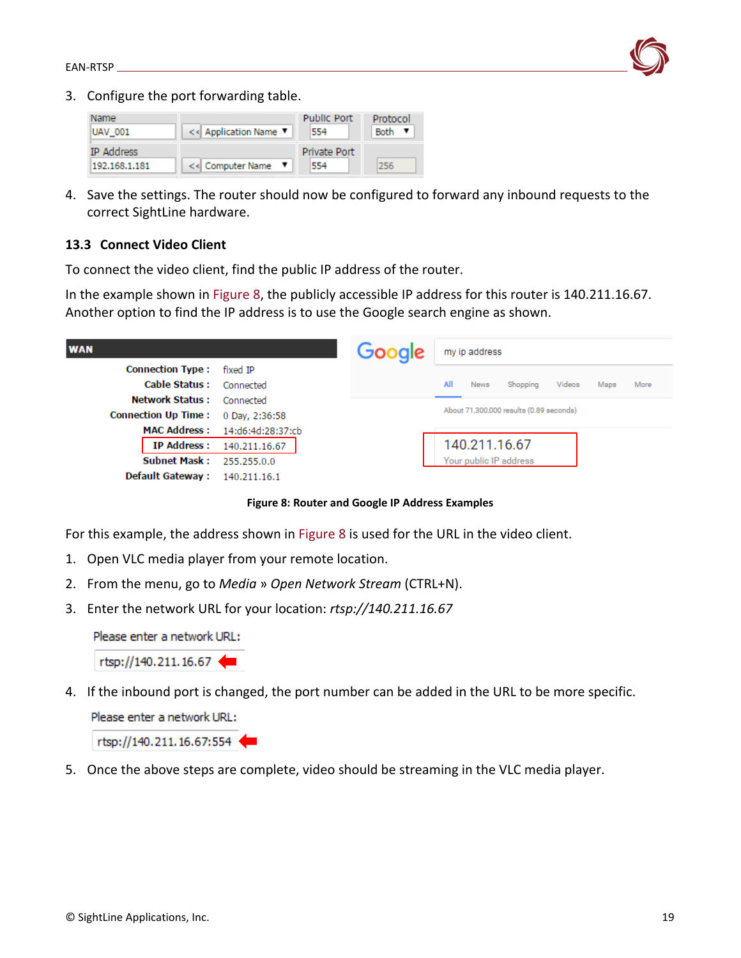

3. Configure the port forwarding table.



4. Save the settings. The router should now be configured to forward any inbound requests to the correct SightLine hardware.

### <span id="page-19-0"></span>**13.3 Connect Video Client**

To connect the video client, find the public IP address of the router.

In the example shown in Figure 8, the publicly accessible IP address for this router is 140.211.16.67. Another option to find the IP address is to use the Google search engine as shown.

| <b>WAN</b>                                           |                                                             | Google |     | my ip address          |                                         |        |      |      |
|------------------------------------------------------|-------------------------------------------------------------|--------|-----|------------------------|-----------------------------------------|--------|------|------|
| <b>Connection Type:</b><br>Cable Status: Connected   | fixed IP                                                    |        | All | <b>News</b>            | Shopping                                | Videos | Maps | More |
| <b>Network Status:</b><br><b>Connection Up Time:</b> | Connected<br>0 Day, 2:36:58                                 |        |     |                        | About 71,300,000 results (0.89 seconds) |        |      |      |
|                                                      | MAC Address: 14:d6:4d:28:37:cb<br>IP Address: 140.211.16.67 |        |     | 140.211.16.67          |                                         |        |      |      |
| <b>Subnet Mask :</b><br><b>Default Gateway:</b>      | 255.255.0.0<br>140.211.16.1                                 |        |     | Your public IP address |                                         |        |      |      |

**Figure 8: Router and Google IP Address Examples**

For this example, the address shown in Figure 8 is used for the URL in the video client.

- 1. Open VLC media player from your remote location.
- 2. From the menu, go to *Media* » *Open Network Stream* (CTRL+N).
- 3. Enter the network URL for your location: *rtsp://140.211.16.67*

Please enter a network URL:

 $rtsp://140.211.16.67$ 

4. If the inbound port is changed, the port number can be added in the URL to be more specific.

Please enter a network URL:

rtsp://140.211.16.67:554

5. Once the above steps are complete, video should be streaming in the VLC media player.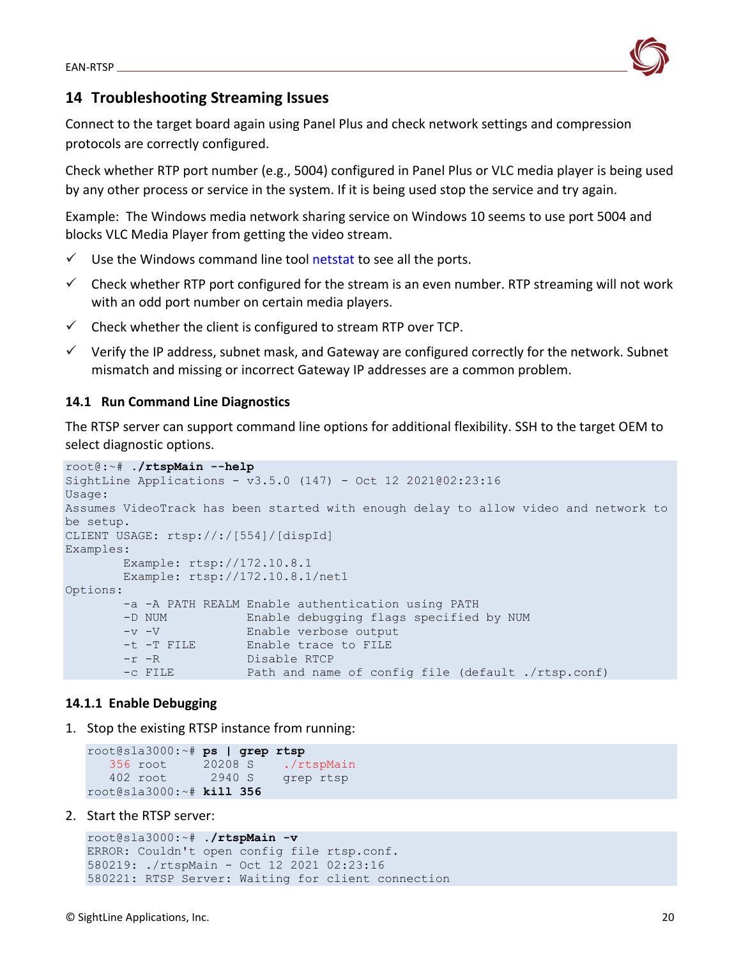

## <span id="page-20-0"></span>**14 Troubleshooting Streaming Issues**

Connect to the target board again using Panel Plus and check network settings and compression protocols are correctly configured.

Check whether RTP port number (e.g., 5004) configured in Panel Plus or VLC media player is being used by any other process or service in the system. If it is being used stop the service and try again.

Example: The Windows media network sharing service on Windows 10 seems to use port 5004 and blocks VLC Media Player from getting the video stream.

- $\checkmark$  Use the Windows command line tool [netstat](https://en.wikipedia.org/wiki/Netstat) to see all the ports.
- $\checkmark$  Check whether RTP port configured for the stream is an even number. RTP streaming will not work with an odd port number on certain media players.
- $\checkmark$  Check whether the client is configured to stream RTP over TCP.
- $\checkmark$  Verify the IP address, subnet mask, and Gateway are configured correctly for the network. Subnet mismatch and missing or incorrect Gateway IP addresses are a common problem.

## <span id="page-20-1"></span>**14.1 Run Command Line Diagnostics**

The RTSP server can support command line options for additional flexibility. SSH to the target OEM to select diagnostic options.

```
root@:~# ./rtspMain --help
SightLine Applications - v3.5.0 (147) - Oct 12 2021@02:23:16
Usage:
Assumes VideoTrack has been started with enough delay to allow video and network to 
be setup.
CLIENT USAGE: rtsp://:/[554]/[dispId]
Examples:
        Example: rtsp://172.10.8.1
        Example: rtsp://172.10.8.1/net1
Options:
        -a -A PATH REALM Enable authentication using PATH
 -D NUM Enable debugging flags specified by NUM
 -v -V Enable verbose output
        -t -T FILE Enable trace to FILE
        -r -R Disable RTCP
        -c FILE Path and name of config file (default ./rtsp.conf)
```
## <span id="page-20-2"></span>**14.1.1 Enable Debugging**

1. Stop the existing RTSP instance from running:

```
root@sla3000:~# ps | grep rtsp
  356 root 20208 S ./rtspMain
  402 root 2940 S grep rtsp
root@sla3000:~# kill 356
```
2. Start the RTSP server:

```
root@sla3000:~# ./rtspMain -v
ERROR: Couldn't open config file rtsp.conf.
580219: ./rtspMain - Oct 12 2021 02:23:16
580221: RTSP Server: Waiting for client connection
```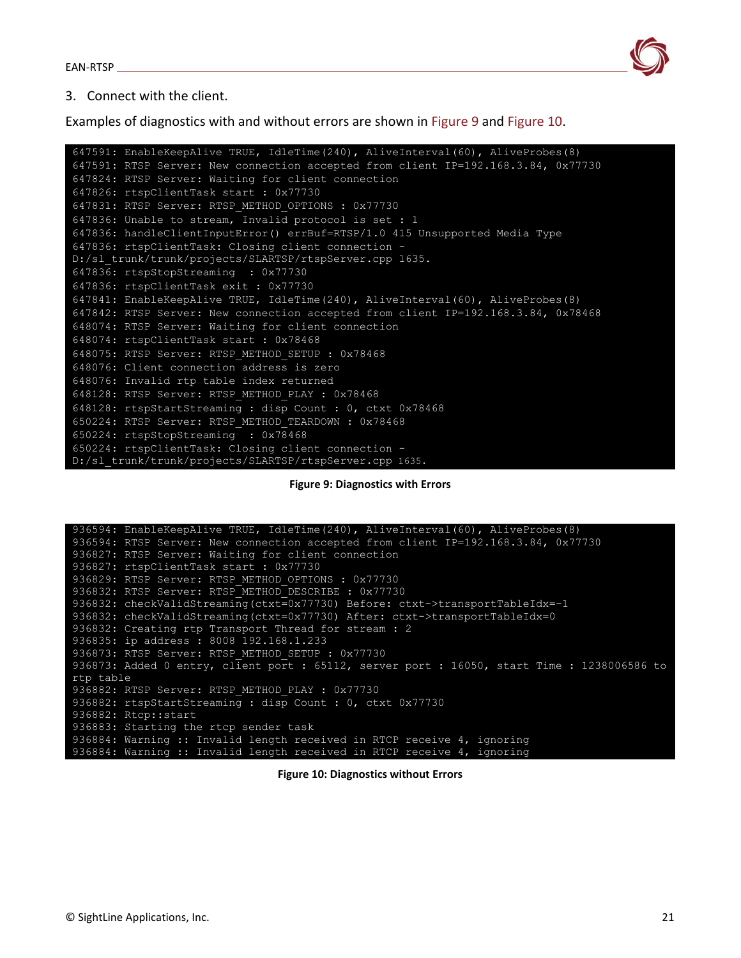

#### 3. Connect with the client.

Examples of diagnostics with and without errors are shown in Figure 9 and Figure 10.

647591: EnableKeepAlive TRUE, IdleTime(240), AliveInterval(60), AliveProbes(8) 647591: RTSP Server: New connection accepted from client IP=192.168.3.84, 0x77730 647824: RTSP Server: Waiting for client connection 647826: rtspClientTask start : 0x77730 647831: RTSP Server: RTSP\_METHOD\_OPTIONS : 0x77730 647836: Unable to stream, Invalid protocol is set : 1 647836: handleClientInputError() errBuf=RTSP/1.0 415 Unsupported Media Type 647836: rtspClientTask: Closing client connection - D:/sl\_trunk/trunk/projects/SLARTSP/rtspServer.cpp 1635. 647836: rtspStopStreaming : 0x77730 647836: rtspClientTask exit : 0x77730 647841: EnableKeepAlive TRUE, IdleTime(240), AliveInterval(60), AliveProbes(8) 647842: RTSP Server: New connection accepted from client IP=192.168.3.84, 0x78468 648074: RTSP Server: Waiting for client connection 648074: rtspClientTask start : 0x78468 648075: RTSP Server: RTSP\_METHOD\_SETUP : 0x78468 648076: Client connection address is zero 648076: Invalid rtp table index returned 648128: RTSP Server: RTSP\_METHOD\_PLAY : 0x78468 648128: rtspStartStreaming : disp Count : 0, ctxt 0x78468 650224: RTSP Server: RTSP\_METHOD\_TEARDOWN : 0x78468 650224: rtspStopStreaming : 0x78468 650224: rtspClientTask: Closing client connection - D:/sl\_trunk/trunk/projects/SLARTSP/rtspServer.cpp 1635.

**Figure 9: Diagnostics with Errors**

936594: EnableKeepAlive TRUE, IdleTime(240), AliveInterval(60), AliveProbes(8) 936594: RTSP Server: New connection accepted from client IP=192.168.3.84, 0x77730 936827: RTSP Server: Waiting for client connection 936827: rtspClientTask start : 0x77730 936829: RTSP Server: RTSP\_METHOD\_OPTIONS : 0x77730 936832: RTSP Server: RTSP\_METHOD\_DESCRIBE : 0x77730 936832: checkValidStreaming(ctxt=0x77730) Before: ctxt->transportTableIdx=-1 936832: checkValidStreaming(ctxt=0x77730) After: ctxt->transportTableIdx=0 936832: Creating rtp Transport Thread for stream : 2 936835: ip address : 8008 192.168.1.233 936873: RTSP Server: RTSP METHOD SETUP : 0x77730 936873: Added 0 entry, client port : 65112, server port : 16050, start Time : 1238006586 to rtp table 936882: RTSP Server: RTSP METHOD PLAY : 0x77730 936882: rtspStartStreaming : disp Count : 0, ctxt 0x77730 936882: Rtcp::start 936883: Starting the rtcp sender task 936884: Warning :: Invalid length received in RTCP receive 4, ignoring 936884: Warning :: Invalid length received in RTCP receive 4, ignoring

**Figure 10: Diagnostics without Errors**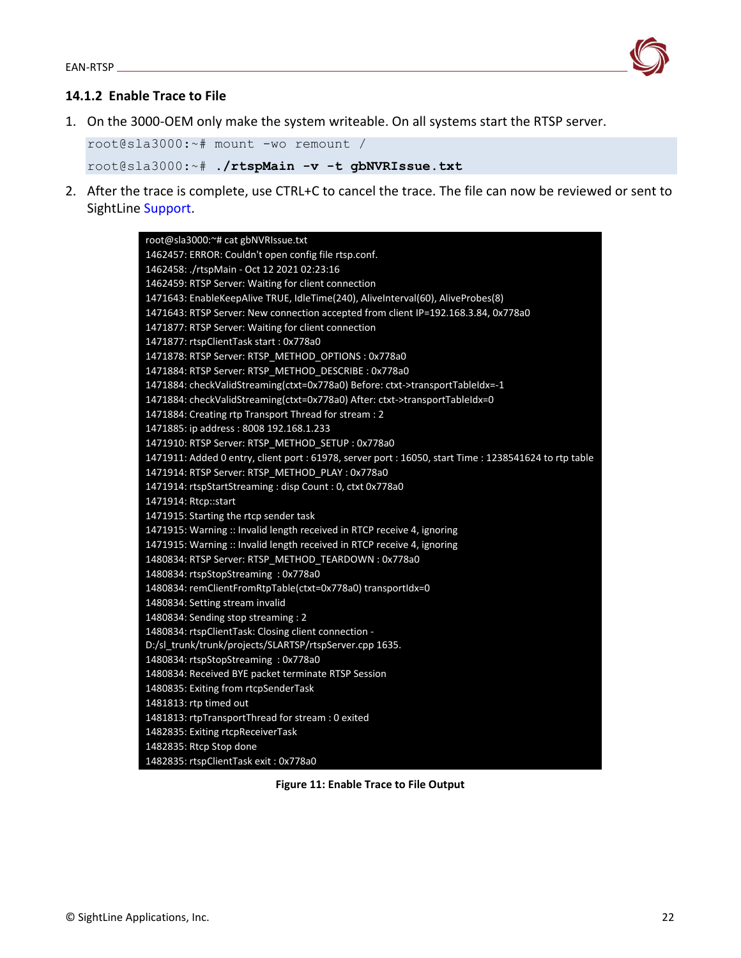

### <span id="page-22-0"></span>**14.1.2 Enable Trace to File**

1. On the 3000-OEM only make the system writeable. On all systems start the RTSP server.

```
root@sla3000:~# mount -wo remount /
```

```
root@sla3000:~# ./rtspMain -v -t gbNVRIssue.txt
```
2. After the trace is complete, use CTRL+C to cancel the trace. The file can now be reviewed or sent to SightLine [Support.](mailto:support@sightlineapplications.com)

| root@sla3000:~# cat gbNVRIssue.txt                                                                     |
|--------------------------------------------------------------------------------------------------------|
| 1462457: ERROR: Couldn't open config file rtsp.conf.                                                   |
| 1462458: ./rtspMain - Oct 12 2021 02:23:16                                                             |
| 1462459: RTSP Server: Waiting for client connection                                                    |
| 1471643: EnableKeepAlive TRUE, IdleTime(240), AliveInterval(60), AliveProbes(8)                        |
| 1471643: RTSP Server: New connection accepted from client IP=192.168.3.84, 0x778a0                     |
| 1471877: RTSP Server: Waiting for client connection                                                    |
| 1471877: rtspClientTask start: 0x778a0                                                                 |
| 1471878: RTSP Server: RTSP_METHOD_OPTIONS: 0x778a0                                                     |
| 1471884: RTSP Server: RTSP_METHOD_DESCRIBE: 0x778a0                                                    |
| 1471884: checkValidStreaming(ctxt=0x778a0) Before: ctxt->transportTableIdx=-1                          |
| 1471884: checkValidStreaming(ctxt=0x778a0) After: ctxt->transportTableIdx=0                            |
| 1471884: Creating rtp Transport Thread for stream : 2                                                  |
| 1471885: ip address: 8008 192.168.1.233                                                                |
| 1471910: RTSP Server: RTSP_METHOD_SETUP: 0x778a0                                                       |
| 1471911: Added 0 entry, client port : 61978, server port : 16050, start Time : 1238541624 to rtp table |
| 1471914: RTSP Server: RTSP_METHOD_PLAY: 0x778a0                                                        |
| 1471914: rtspStartStreaming : disp Count : 0, ctxt 0x778a0                                             |
| 1471914: Rtcp::start                                                                                   |
| 1471915: Starting the rtcp sender task                                                                 |
| 1471915: Warning :: Invalid length received in RTCP receive 4, ignoring                                |
| 1471915: Warning :: Invalid length received in RTCP receive 4, ignoring                                |
| 1480834: RTSP Server: RTSP METHOD TEARDOWN: 0x778a0                                                    |
| 1480834: rtspStopStreaming: 0x778a0                                                                    |
| 1480834: remClientFromRtpTable(ctxt=0x778a0) transportIdx=0                                            |
| 1480834: Setting stream invalid                                                                        |
| 1480834: Sending stop streaming : 2                                                                    |
| 1480834: rtspClientTask: Closing client connection -                                                   |
| D:/sl_trunk/trunk/projects/SLARTSP/rtspServer.cpp 1635.                                                |
| 1480834: rtspStopStreaming: 0x778a0                                                                    |
| 1480834: Received BYE packet terminate RTSP Session                                                    |
| 1480835: Exiting from rtcpSenderTask                                                                   |
| 1481813: rtp timed out                                                                                 |
| 1481813: rtpTransportThread for stream : 0 exited                                                      |
| 1482835: Exiting rtcpReceiverTask                                                                      |
| 1482835: Rtcp Stop done                                                                                |
| 1482835: rtspClientTask exit: 0x778a0                                                                  |

**Figure 11: Enable Trace to File Output**